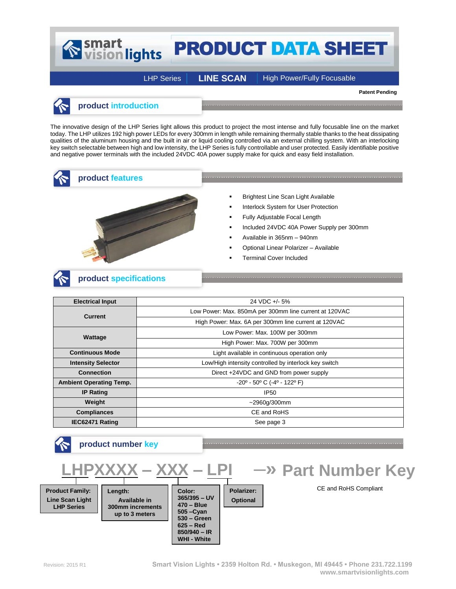# Smart<br>
vision lights **PRODUCT DATA SHEET**

LHP Series **LINE SCAN** | High Power/Fully Focusable

**Patent Pending**



## **product introduction**

The innovative design of the LHP Series light allows this product to project the most intense and fully focusable line on the market today. The LHP utilizes 192 high power LEDs for every 300mm in length while remaining thermally stable thanks to the heat dissipating qualities of the aluminum housing and the built in air or liquid cooling controlled via an external chilling system. With an interlocking key switch selectable between high and low intensity, the LHP Series is fully controllable and user protected. Easily identifiable positive and negative power terminals with the included 24VDC 40A power supply make for quick and easy field installation.



## **product features**



- Brightest Line Scan Light Available
- Interlock System for User Protection
- Fully Adjustable Focal Length
- Included 24VDC 40A Power Supply per 300mm
- Available in 365nm 940nm
- Optional Linear Polarizer Available
- Terminal Cover Included



## **product specifications**

**Electrical Input** 24 VDC +/- 5% **Current** Low Power: Max. 850mA per 300mm line current at 120VAC High Power: Max. 6A per 300mm line current at 120VAC **Wattage** Low Power: Max. 100W per 300mm High Power: Max. 700W per 300mm **Continuous Mode Light available in continuous operation only Intensity Selector Low/High intensity controlled by interlock key switch Connection Direct +24VDC and GND from power supply Ambient Operating Temp.**  $\vert$  **Example 200 - 50° C** (-4° - 122° F) **IP Rating** IP50 **Weight** ~2960g/300mm **Compliances** CE and RoHS **IEC62471 Rating See page 3** See page 3

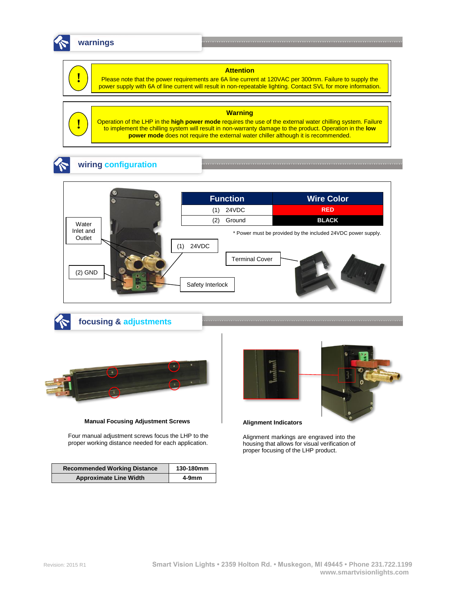

**!**

**!**

## **warnings**

#### **Attention**

Please note that the power requirements are 6A line current at 120VAC per 300mm. Failure to supply the power supply with 6A of line current will result in non-repeatable lighting. Contact SVL for more information.

#### **Warning**

Operation of the LHP in the **high power mode** requires the use of the external water chilling system. Failure to implement the chilling system will result in non-warranty damage to the product. Operation in the **low power mode** does not require the external water chiller although it is recommended.

## **wiring configuration**



**focusing & adjustments**



#### **Manual Focusing Adjustment Screws Alignment Indicators**

Four manual adjustment screws focus the LHP to the proper working distance needed for each application.

| <b>Recommended Working Distance</b> | 130-180mm |
|-------------------------------------|-----------|
| <b>Approximate Line Width</b>       | $4-9mm$   |





Alignment markings are engraved into the housing that allows for visual verification of proper focusing of the LHP product.